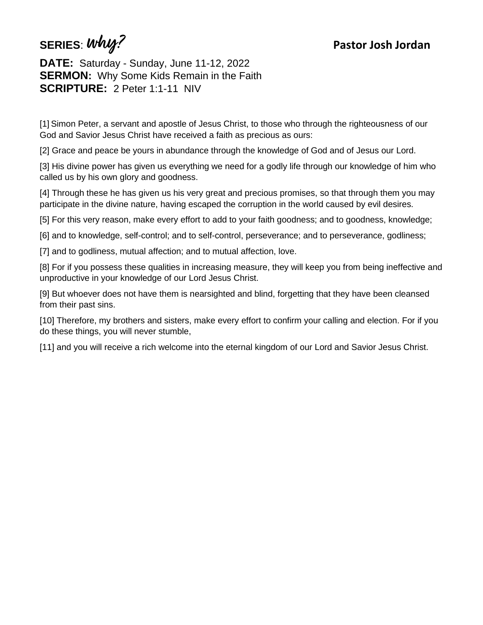**SERIES**: **why? Pastor Josh Jordan**

**DATE:** Saturday - Sunday, June 11-12, 2022 **SERMON:** Why Some Kids Remain in the Faith **SCRIPTURE:** 2 Peter 1:1-11 NIV

[1] Simon Peter, a servant and apostle of Jesus Christ, to those who through the righteousness of our God and Savior Jesus Christ have received a faith as precious as ours:

[2] Grace and peace be yours in abundance through the knowledge of God and of Jesus our Lord.

[3] His divine power has given us everything we need for a godly life through our knowledge of him who called us by his own glory and goodness.

[4] Through these he has given us his very great and precious promises, so that through them you may participate in the divine nature, having escaped the corruption in the world caused by evil desires.

[5] For this very reason, make every effort to add to your faith goodness; and to goodness, knowledge;

[6] and to knowledge, self-control; and to self-control, perseverance; and to perseverance, godliness;

[7] and to godliness, mutual affection; and to mutual affection, love.

[8] For if you possess these qualities in increasing measure, they will keep you from being ineffective and unproductive in your knowledge of our Lord Jesus Christ.

[9] But whoever does not have them is nearsighted and blind, forgetting that they have been cleansed from their past sins.

[10] Therefore, my brothers and sisters, make every effort to confirm your calling and election. For if you do these things, you will never stumble,

[11] and you will receive a rich welcome into the eternal kingdom of our Lord and Savior Jesus Christ.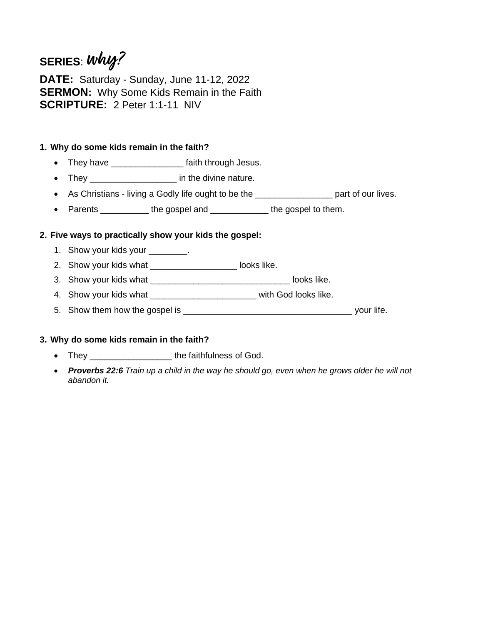# **SERIES**: **why?**

**DATE:** Saturday - Sunday, June 11-12, 2022 **SERMON:** Why Some Kids Remain in the Faith **SCRIPTURE:** 2 Peter 1:1-11 NIV

### **1. Why do some kids remain in the faith?**

- They have \_\_\_\_\_\_\_\_\_\_\_\_\_\_\_\_\_\_ faith through Jesus.
- They \_\_\_\_\_\_\_\_\_\_\_\_\_\_\_\_\_ in the divine nature.
- As Christians living a Godly life ought to be the \_\_\_\_\_\_\_\_\_\_\_\_\_\_\_\_\_\_\_\_ part of our lives.
- Parents \_\_\_\_\_\_\_\_\_\_\_ the gospel and \_\_\_\_\_\_\_\_\_\_\_\_\_ the gospel to them.

## **2. Five ways to practically show your kids the gospel:**

- 1. Show your kids your \_\_\_\_\_\_\_\_.
- 2. Show your kids what \_\_\_\_\_\_\_\_\_\_\_\_\_\_\_\_\_\_\_\_\_ looks like.
- 3. Show your kids what \_\_\_\_\_\_\_\_\_\_\_\_\_\_\_\_\_\_\_\_\_\_\_\_\_\_\_\_\_ looks like.
- 4. Show your kids what \_\_\_\_\_\_\_\_\_\_\_\_\_\_\_\_\_\_\_\_\_\_\_\_\_ with God looks like.
- 5. Show them how the gospel is \_\_\_\_\_\_\_\_\_\_\_\_\_\_\_\_\_\_\_\_\_\_\_\_\_\_\_\_\_\_\_\_\_\_\_ your life.

#### **3. Why do some kids remain in the faith?**

- They \_\_\_\_\_\_\_\_\_\_\_\_\_\_\_\_\_\_\_\_\_\_\_the faithfulness of God.
- *Proverbs 22:6 Train up a child in the way he should go, even when he grows older he will not abandon it.*